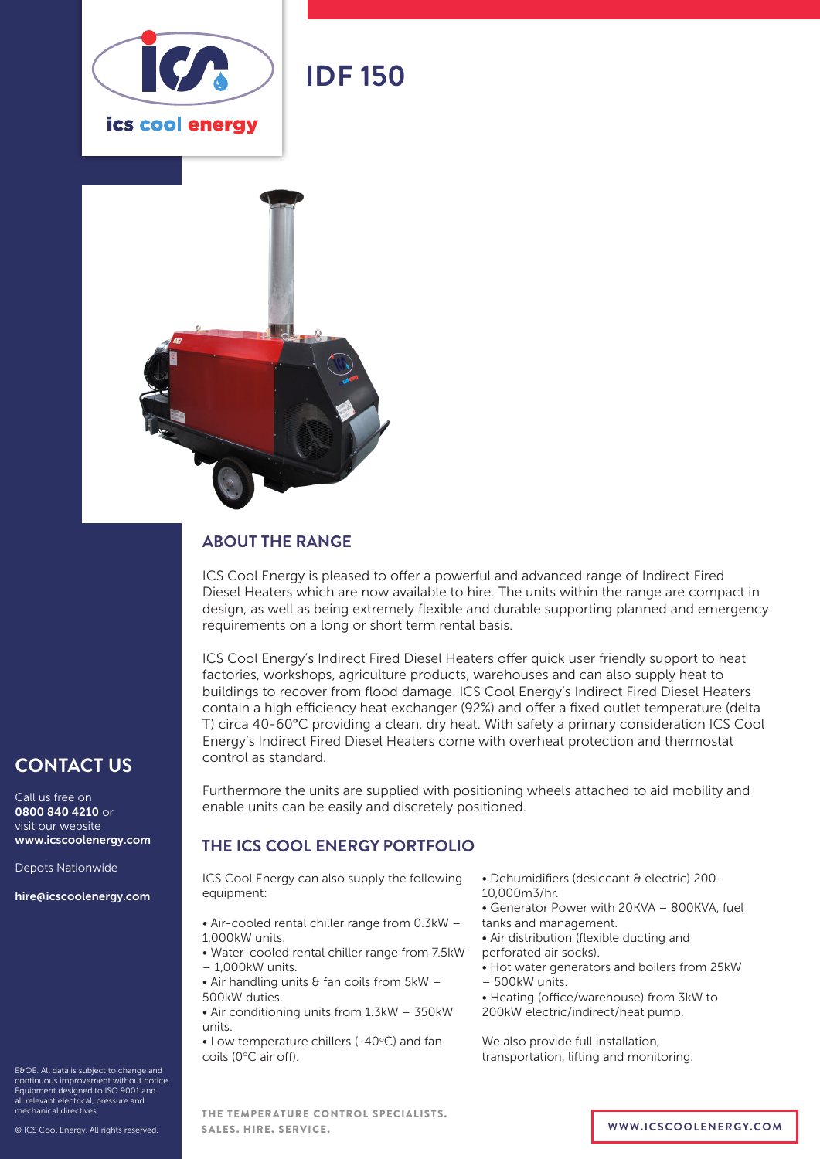

# **IDF 150**



### **ABOUT THE RANGE**

ICS Cool Energy is pleased to offer a powerful and advanced range of Indirect Fired Diesel Heaters which are now available to hire. The units within the range are compact in design, as well as being extremely flexible and durable supporting planned and emergency requirements on a long or short term rental basis.

ICS Cool Energy's Indirect Fired Diesel Heaters offer quick user friendly support to heat factories, workshops, agriculture products, warehouses and can also supply heat to buildings to recover from flood damage. ICS Cool Energy's Indirect Fired Diesel Heaters contain a high efficiency heat exchanger (92%) and offer a fixed outlet temperature (delta T) circa 40-60°C providing a clean, dry heat. With safety a primary consideration ICS Cool Energy's Indirect Fired Diesel Heaters come with overheat protection and thermostat control as standard.

Furthermore the units are supplied with positioning wheels attached to aid mobility and enable units can be easily and discretely positioned.

#### **THE ICS COOL ENERGY PORTFOLIO**

ICS Cool Energy can also supply the following equipment:

- Air-cooled rental chiller range from 0.3kW 1,000kW units.
- Water-cooled rental chiller range from 7.5kW – 1,000kW units.
- $\bullet$  Air handling units & fan coils from 5kW -500kW duties.
- Air conditioning units from 1.3kW 350kW units.
- $\bullet$  Low temperature chillers (-40 $\degree$ C) and fan coils (0°C air off).
- Dehumidifiers (desiccant & electric) 200-
- 10,000m3/hr.
- Generator Power with 20KVA 800KVA, fuel tanks and management.
- Air distribution (flexible ducting and perforated air socks).
- Hot water generators and boilers from 25kW
- 500kW units.
- Heating (office/warehouse) from 3kW to
- 200kW electric/indirect/heat pump.

We also provide full installation, transportation, lifting and monitoring.

E&OE. All data is subject to change and continuous improvement without notice. Equipment designed to ISO 9001 and all relevant electrical, pressure and mechanical directives.

**CONTACT US**

www.icscoolenergy.com

hire@icscoolenergy.com

Depots Nationwide

Call us free on 0800 840 4210 or visit our website

THE TEMPERATURE CONTROL SPECIALISTS. SALES. HIRE. SERVICE. **WWW.ICSCOOLENERGY.COM**